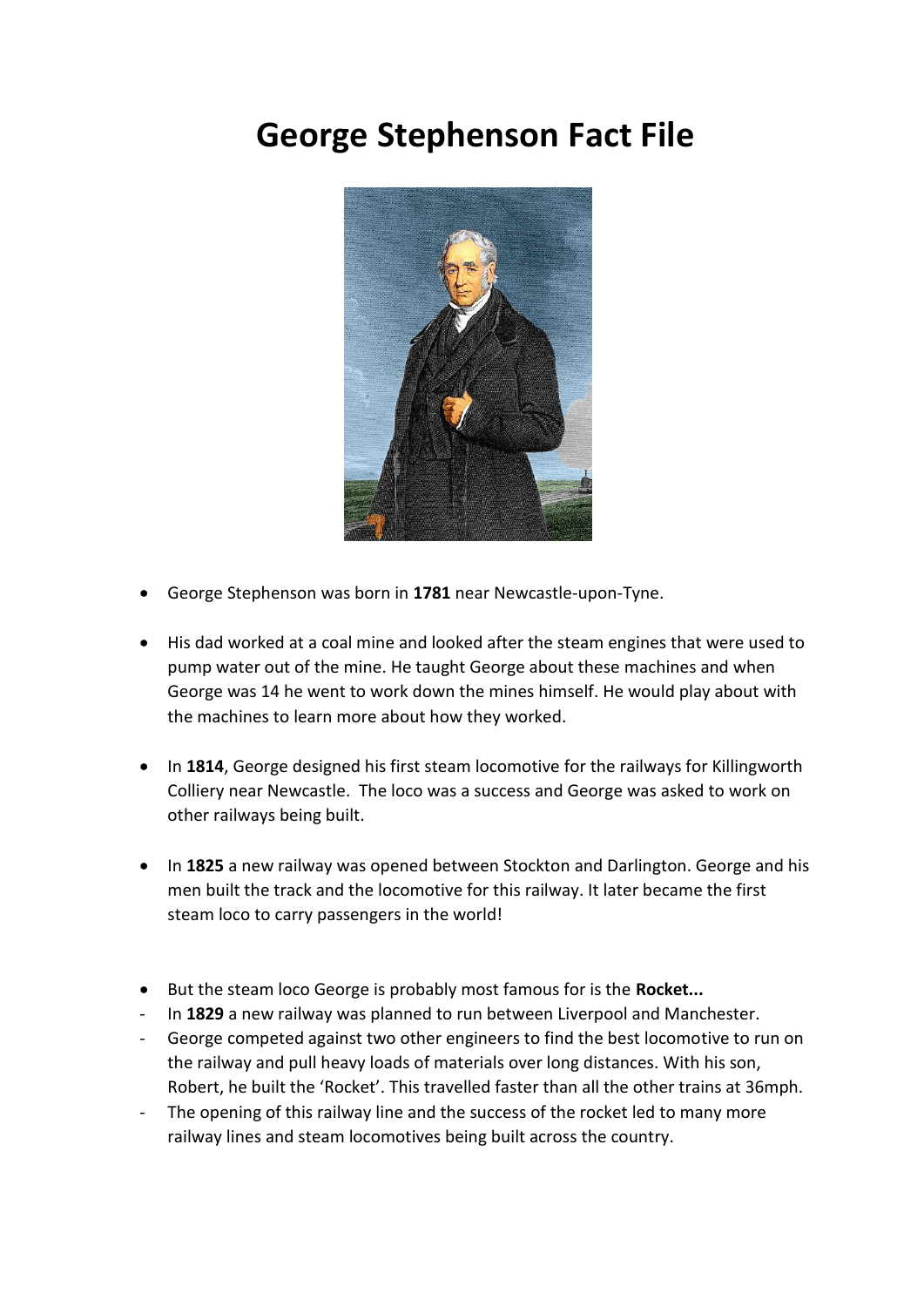## **George Stephenson Fact File**



- George Stephenson was born in **1781** near Newcastle-upon-Tyne.
- His dad worked at a coal mine and looked after the steam engines that were used to pump water out of the mine. He taught George about these machines and when George was 14 he went to work down the mines himself. He would play about with the machines to learn more about how they worked.
- In **1814**, George designed his first steam locomotive for the railways for Killingworth Colliery near Newcastle. The loco was a success and George was asked to work on other railways being built.
- In **1825** a new railway was opened between Stockton and Darlington. George and his men built the track and the locomotive for this railway. It later became the first steam loco to carry passengers in the world!
- But the steam loco George is probably most famous for is the **Rocket...**
- In **1829** a new railway was planned to run between Liverpool and Manchester.
- George competed against two other engineers to find the best locomotive to run on the railway and pull heavy loads of materials over long distances. With his son, Robert, he built the 'Rocket'. This travelled faster than all the other trains at 36mph.
- The opening of this railway line and the success of the rocket led to many more railway lines and steam locomotives being built across the country.